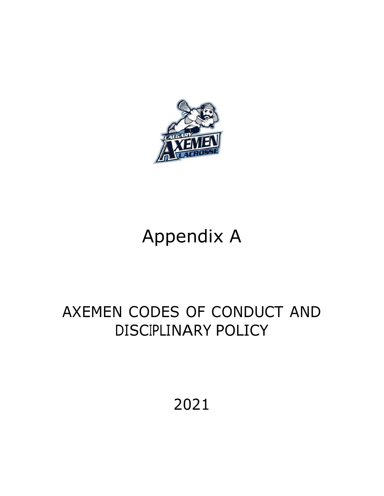

# Appendix A

## AXEMEN CODES OF CONDUCT AND DISCIPLINARY POLICY

2021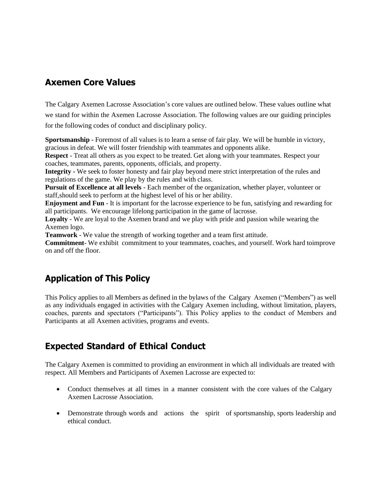## **Axemen Core Values**

The Calgary Axemen Lacrosse Association's core values are outlined below. These values outline what we stand for within the Axemen Lacrosse Association. The following values are our guiding principles for the following codes of conduct and disciplinary policy.

**Sportsmanship** - Foremost of all values is to learn a sense of fair play. We will be humble in victory, gracious in defeat. We will foster friendship with teammates and opponents alike.

**Respect** - Treat all others as you expect to be treated. Get along with your teammates. Respect your coaches, teammates, parents, opponents, officials, and property.

**Integrity -** We seek to foster honesty and fair play beyond mere strict interpretation of the rules and regulations of the game. We play by the rules and with class.

**Pursuit of Excellence at all levels** - Each member of the organization, whether player, volunteer or staff,should seek to perform at the highest level of his or her ability.

**Enjoyment and Fun** - It is important for the lacrosse experience to be fun, satisfying and rewarding for all participants. We encourage lifelong participation in the game of lacrosse.

**Loyalty** - We are loyal to the Axemen brand and we play with pride and passion while wearing the Axemen logo.

**Teamwork** - We value the strength of working together and a team first attitude.

**Commitment**- We exhibit commitment to your teammates, coaches, and yourself. Work hard toimprove on and off the floor.

## **Application of This Policy**

This Policy applies to all Members as defined in the bylaws of the Calgary Axemen ("Members") as well as any individuals engaged in activities with the Calgary Axemen including, without limitation, players, coaches, parents and spectators ("Participants"). This Policy applies to the conduct of Members and Participants at all Axemen activities, programs and events.

## **Expected Standard of Ethical Conduct**

The Calgary Axemen is committed to providing an environment in which all individuals are treated with respect. All Members and Participants of Axemen Lacrosse are expected to:

- Conduct themselves at all times in a manner consistent with the core values of the Calgary Axemen Lacrosse Association.
- Demonstrate through words and actions the spirit of sportsmanship, sports leadership and ethical conduct.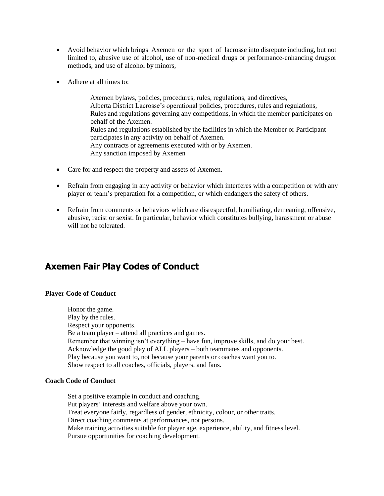- Avoid behavior which brings Axemen or the sport of lacrosse into disrepute including, but not limited to, abusive use of alcohol, use of non-medical drugs or performance-enhancing drugsor methods, and use of alcohol by minors,
- Adhere at all times to:

Axemen bylaws, policies, procedures, rules, regulations, and directives, Alberta District Lacrosse's operational policies, procedures, rules and regulations, Rules and regulations governing any competitions, in which the member participates on behalf of the Axemen. Rules and regulations established by the facilities in which the Member or Participant participates in any activity on behalf of Axemen. Any contracts or agreements executed with or by Axemen. Any sanction imposed by Axemen

- Care for and respect the property and assets of Axemen.
- Refrain from engaging in any activity or behavior which interferes with a competition or with any player or team's preparation for a competition, or which endangers the safety of others.
- Refrain from comments or behaviors which are disrespectful, humiliating, demeaning, offensive, abusive, racist or sexist. In particular, behavior which constitutes bullying, harassment or abuse will not be tolerated.

## **Axemen Fair Play Codes of Conduct**

#### **Player Code of Conduct**

Honor the game. Play by the rules. Respect your opponents. Be a team player – attend all practices and games. Remember that winning isn't everything – have fun, improve skills, and do your best. Acknowledge the good play of ALL players – both teammates and opponents. Play because you want to, not because your parents or coaches want you to. Show respect to all coaches, officials, players, and fans.

#### **Coach Code of Conduct**

Set a positive example in conduct and coaching. Put players' interests and welfare above your own. Treat everyone fairly, regardless of gender, ethnicity, colour, or other traits. Direct coaching comments at performances, not persons. Make training activities suitable for player age, experience, ability, and fitness level. Pursue opportunities for coaching development.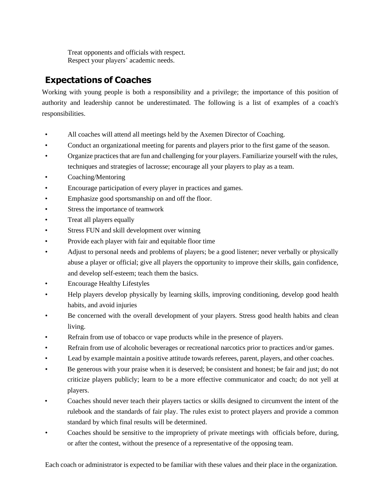Treat opponents and officials with respect. Respect your players' academic needs.

## **Expectations of Coaches**

Working with young people is both a responsibility and a privilege; the importance of this position of authority and leadership cannot be underestimated. The following is a list of examples of a coach's responsibilities.

- All coaches will attend all meetings held by the Axemen Director of Coaching.
- Conduct an organizational meeting for parents and players prior to the first game of the season.
- Organize practices that are fun and challenging for your players. Familiarize yourself with the rules, techniques and strategies of lacrosse; encourage all your players to play as a team.
- Coaching/Mentoring
- Encourage participation of every player in practices and games.
- Emphasize good sportsmanship on and off the floor.
- Stress the importance of teamwork
- Treat all players equally
- Stress FUN and skill development over winning
- Provide each player with fair and equitable floor time
- Adjust to personal needs and problems of players; be a good listener; never verbally or physically abuse a player or official; give all players the opportunity to improve their skills, gain confidence, and develop self-esteem; teach them the basics.
- Encourage Healthy Lifestyles
- Help players develop physically by learning skills, improving conditioning, develop good health habits, and avoid injuries
- Be concerned with the overall development of your players. Stress good health habits and clean living.
- Refrain from use of tobacco or vape products while in the presence of players.
- Refrain from use of alcoholic beverages or recreational narcotics prior to practices and/or games.
- Lead by example maintain a positive attitude towards referees, parent, players, and other coaches.
- Be generous with your praise when it is deserved; be consistent and honest; be fair and just; do not criticize players publicly; learn to be a more effective communicator and coach; do not yell at players.
- Coaches should never teach their players tactics or skills designed to circumvent the intent of the rulebook and the standards of fair play. The rules exist to protect players and provide a common standard by which final results will be determined.
- Coaches should be sensitive to the impropriety of private meetings with officials before, during, or after the contest, without the presence of a representative of the opposing team.

Each coach or administrator is expected to be familiar with these values and their place in the organization.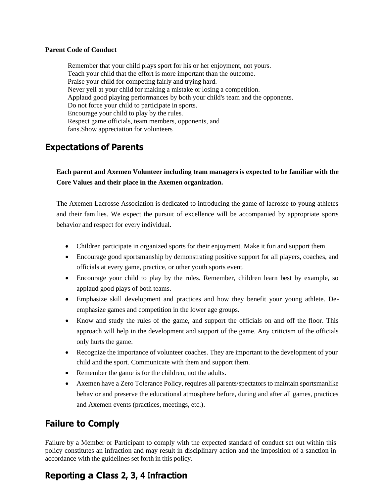#### **Parent Code of Conduct**

Remember that your child plays sport for his or her enjoyment, not yours. Teach your child that the effort is more important than the outcome. Praise your child for competing fairly and trying hard. Never yell at your child for making a mistake or losing a competition. Applaud good playing performances by both your child's team and the opponents. Do not force your child to participate in sports. Encourage your child to play by the rules. Respect game officials, team members, opponents, and fans.Show appreciation for volunteers

## **Expectations of Parents**

**Each parent and Axemen Volunteer including team managers is expected to be familiar with the Core Values and their place in the Axemen organization.**

The Axemen Lacrosse Association is dedicated to introducing the game of lacrosse to young athletes and their families. We expect the pursuit of excellence will be accompanied by appropriate sports behavior and respect for every individual.

- Children participate in organized sports for their enjoyment. Make it fun and support them.
- Encourage good sportsmanship by demonstrating positive support for all players, coaches, and officials at every game, practice, or other youth sports event.
- Encourage your child to play by the rules. Remember, children learn best by example, so applaud good plays of both teams.
- Emphasize skill development and practices and how they benefit your young athlete. Deemphasize games and competition in the lower age groups.
- Know and study the rules of the game, and support the officials on and off the floor. This approach will help in the development and support of the game. Any criticism of the officials only hurts the game.
- Recognize the importance of volunteer coaches. They are important to the development of your child and the sport. Communicate with them and support them.
- Remember the game is for the children, not the adults.
- Axemen have a Zero Tolerance Policy, requires all parents/spectators to maintain sportsmanlike behavior and preserve the educational atmosphere before, during and after all games, practices and Axemen events (practices, meetings, etc.).

## **Failure to Comply**

Failure by a Member or Participant to comply with the expected standard of conduct set out within this policy constitutes an infraction and may result in disciplinary action and the imposition of a sanction in accordance with the guidelines set forth in this policy.

## **Reporting a Class 2, 3, 4 Infraction**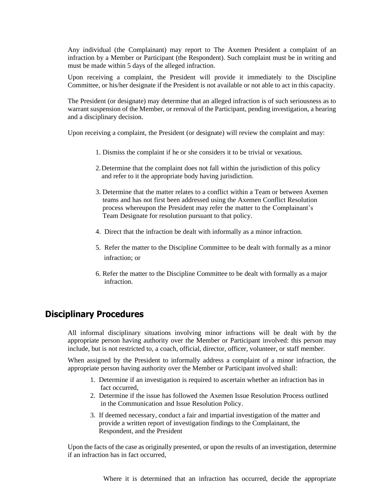Any individual (the Complainant) may report to The Axemen President a complaint of an infraction by a Member or Participant (the Respondent). Such complaint must be in writing and must be made within 5 days of the alleged infraction.

Upon receiving a complaint, the President will provide it immediately to the Discipline Committee, or his/her designate if the President is not available or not able to act in this capacity.

The President (or designate) may determine that an alleged infraction is of such seriousness as to warrant suspension of the Member, or removal of the Participant, pending investigation, a hearing and a disciplinary decision.

Upon receiving a complaint, the President (or designate) will review the complaint and may:

- 1. Dismiss the complaint if he or she considers it to be trivial or vexatious.
- 2.Determine that the complaint does not fall within the jurisdiction of this policy and refer to it the appropriate body having jurisdiction.
- 3. Determine that the matter relates to a conflict within a Team or between Axemen teams and has not first been addressed using the Axemen Conflict Resolution process whereupon the President may refer the matter to the Complainant's Team Designate for resolution pursuant to that policy.
- 4. Direct that the infraction be dealt with informally as a minor infraction.
- 5. Refer the matter to the Discipline Committee to be dealt with formally as a minor infraction; or
- 6. Refer the matter to the Discipline Committee to be dealt with formally as a major infraction.

### **Disciplinary Procedures**

All informal disciplinary situations involving minor infractions will be dealt with by the appropriate person having authority over the Member or Participant involved: this person may include, but is not restricted to, a coach, official, director, officer, volunteer, or staff member.

When assigned by the President to informally address a complaint of a minor infraction, the appropriate person having authority over the Member or Participant involved shall:

- 1. Determine if an investigation is required to ascertain whether an infraction has in fact occurred,
- 2. Determine if the issue has followed the Axemen Issue Resolution Process outlined in the Communication and Issue Resolution Policy.
- 3. If deemed necessary, conduct a fair and impartial investigation of the matter and provide a written report of investigation findings to the Complainant, the Respondent, and the President

Upon the facts of the case as originally presented, or upon the results of an investigation, determine if an infraction has in fact occurred,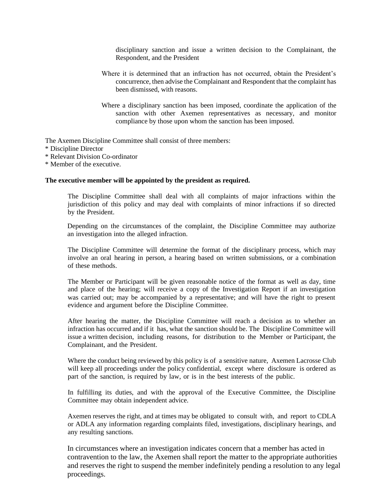disciplinary sanction and issue a written decision to the Complainant, the Respondent, and the President

- Where it is determined that an infraction has not occurred, obtain the President's concurrence, then advise the Complainant and Respondent that the complaint has been dismissed, with reasons.
- Where a disciplinary sanction has been imposed, coordinate the application of the sanction with other Axemen representatives as necessary, and monitor compliance by those upon whom the sanction has been imposed.

The Axemen Discipline Committee shall consist of three members:

- \* Discipline Director
- \* Relevant Division Co-ordinator
- \* Member of the executive.

#### **The executive member will be appointed by the president as required.**

The Discipline Committee shall deal with all complaints of major infractions within the jurisdiction of this policy and may deal with complaints of minor infractions if so directed by the President.

Depending on the circumstances of the complaint, the Discipline Committee may authorize an investigation into the alleged infraction.

The Discipline Committee will determine the format of the disciplinary process, which may involve an oral hearing in person, a hearing based on written submissions, or a combination of these methods.

The Member or Participant will be given reasonable notice of the format as well as day, time and place of the hearing; will receive a copy of the Investigation Report if an investigation was carried out; may be accompanied by a representative; and will have the right to present evidence and argument before the Discipline Committee.

After hearing the matter, the Discipline Committee will reach a decision as to whether an infraction has occurred and if it has, what the sanction should be. The Discipline Committee will issue a written decision, including reasons, for distribution to the Member or Participant, the Complainant, and the President.

Where the conduct being reviewed by this policy is of a sensitive nature, Axemen Lacrosse Club will keep all proceedings under the policy confidential, except where disclosure is ordered as part of the sanction, is required by law, or is in the best interests of the public.

In fulfilling its duties, and with the approval of the Executive Committee, the Discipline Committee may obtain independent advice.

Axemen reserves the right, and at times may be obligated to consult with, and report to CDLA or ADLA any information regarding complaints filed, investigations, disciplinary hearings, and any resulting sanctions.

In circumstances where an investigation indicates concern that a member has acted in contravention to the law, the Axemen shall report the matter to the appropriate authorities and reserves the right to suspend the member indefinitely pending a resolution to any legal proceedings.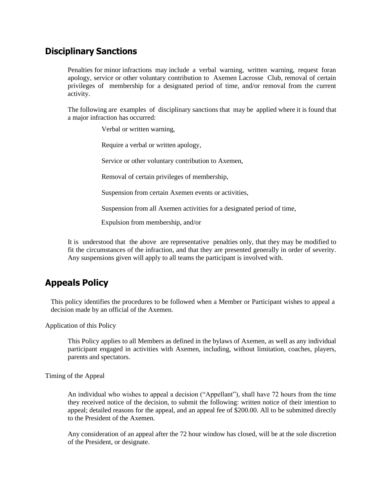## **Disciplinary Sanctions**

Penalties for minor infractions may include a verbal warning, written warning, request foran apology, service or other voluntary contribution to Axemen Lacrosse Club, removal of certain privileges of membership for a designated period of time, and/or removal from the current activity.

The following are examples of disciplinary sanctions that may be applied where it is found that a major infraction has occurred:

Verbal or written warning,

Require a verbal or written apology,

Service or other voluntary contribution to Axemen,

Removal of certain privileges of membership,

Suspension from certain Axemen events or activities,

Suspension from all Axemen activities for a designated period of time,

Expulsion from membership, and/or

It is understood that the above are representative penalties only, that they may be modified to fit the circumstances of the infraction, and that they are presented generally in order of severity. Any suspensions given will apply to all teams the participant is involved with.

## **Appeals Policy**

This policy identifies the procedures to be followed when a Member or Participant wishes to appeal a decision made by an official of the Axemen.

Application of this Policy

This Policy applies to all Members as defined in the bylaws of Axemen, as well as any individual participant engaged in activities with Axemen, including, without limitation, coaches, players, parents and spectators.

Timing of the Appeal

An individual who wishes to appeal a decision ("Appellant"), shall have 72 hours from the time they received notice of the decision, to submit the following: written notice of their intention to appeal; detailed reasons for the appeal, and an appeal fee of \$200.00. All to be submitted directly to the President of the Axemen.

Any consideration of an appeal after the 72 hour window has closed, will be at the sole discretion of the President, or designate.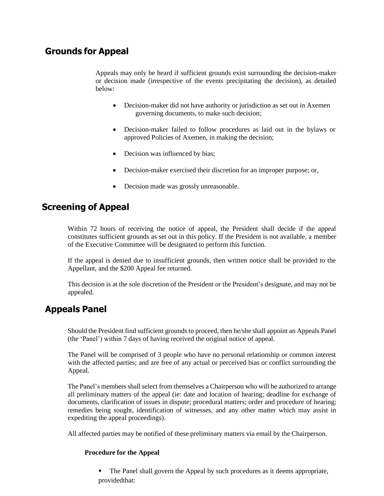## **Grounds for Appeal**

Appeals may only be heard if sufficient grounds exist surrounding the decision-maker or decision made (irrespective of the events precipitating the decision), as detailed below:

- Decision-maker did not have authority or jurisdiction as set out in Axemen governing documents, to make such decision;
- Decision-maker failed to follow procedures as laid out in the bylaws or approved Policies of Axemen, in making the decision;
- Decision was influenced by bias;
- Decision-maker exercised their discretion for an improper purpose; or,
- Decision made was grossly unreasonable.

## **Screening of Appeal**

Within 72 hours of receiving the notice of appeal, the President shall decide if the appeal constitutes sufficient grounds as set out in this policy. If the President is not available, a member of the Executive Committee will be designated to perform this function.

If the appeal is denied due to insufficient grounds, then written notice shall be provided to the Appellant, and the \$200 Appeal fee returned.

This decision is at the sole discretion of the President or the President's designate, and may not be appealed.

## **Appeals Panel**

Should the President find sufficient grounds to proceed, then he/she shall appoint an Appeals Panel (the 'Panel') within 7 days of having received the original notice of appeal.

The Panel will be comprised of 3 people who have no personal relationship or common interest with the affected parties; and are free of any actual or perceived bias or conflict surrounding the Appeal.

The Panel's members shall select from themselves a Chairperson who will be authorized to arrange all preliminary matters of the appeal (ie: date and location of hearing; deadline for exchange of documents, clarification of issues in dispute; procedural matters; order and procedure of hearing; remedies being sought, identification of witnesses, and any other matter which may assist in expediting the appeal proceedings).

All affected parties may be notified of these preliminary matters via email by the Chairperson.

#### **Procedure for the Appeal**

■ The Panel shall govern the Appeal by such procedures as it deems appropriate, providedthat: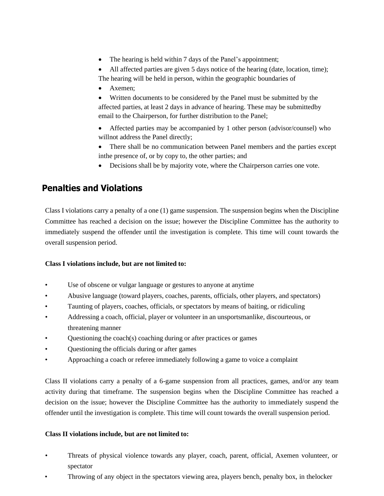- The hearing is held within 7 days of the Panel's appointment;
- All affected parties are given 5 days notice of the hearing (date, location, time); The hearing will be held in person, within the geographic boundaries of
- Axemen:
- Written documents to be considered by the Panel must be submitted by the affected parties, at least 2 days in advance of hearing. These may be submittedby email to the Chairperson, for further distribution to the Panel;
- Affected parties may be accompanied by 1 other person (advisor/counsel) who willnot address the Panel directly;
- There shall be no communication between Panel members and the parties except inthe presence of, or by copy to, the other parties; and
- Decisions shall be by majority vote, where the Chairperson carries one vote.

## **Penalties and Violations**

Class I violations carry a penalty of a one (1) game suspension. The suspension begins when the Discipline Committee has reached a decision on the issue; however the Discipline Committee has the authority to immediately suspend the offender until the investigation is complete. This time will count towards the overall suspension period.

#### **Class I violations include, but are not limited to:**

- Use of obscene or vulgar language or gestures to anyone at anytime
- Abusive language (toward players, coaches, parents, officials, other players, and spectators)
- Taunting of players, coaches, officials, or spectators by means of baiting, or ridiculing
- Addressing a coach, official, player or volunteer in an unsportsmanlike, discourteous, or threatening manner
- Questioning the coach(s) coaching during or after practices or games
- Questioning the officials during or after games
- Approaching a coach or referee immediately following a game to voice a complaint

Class II violations carry a penalty of a 6-game suspension from all practices, games, and/or any team activity during that timeframe. The suspension begins when the Discipline Committee has reached a decision on the issue; however the Discipline Committee has the authority to immediately suspend the offender until the investigation is complete. This time will count towards the overall suspension period.

#### **Class II violations include, but are not limited to:**

- Threats of physical violence towards any player, coach, parent, official, Axemen volunteer, or spectator
- Throwing of any object in the spectators viewing area, players bench, penalty box, in thelocker